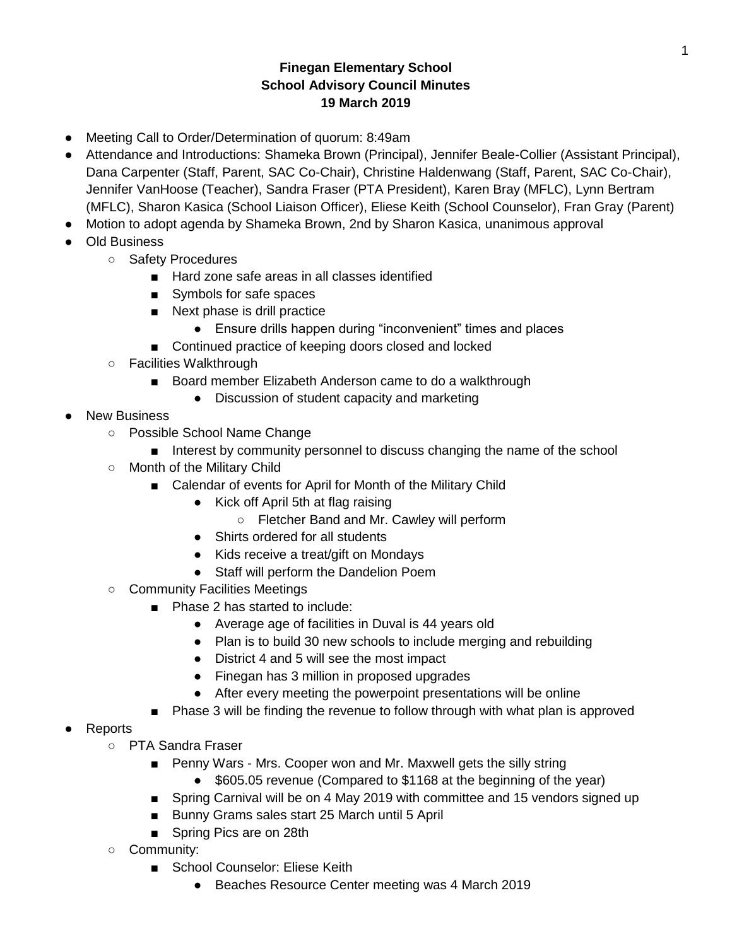## **Finegan Elementary School School Advisory Council Minutes 19 March 2019**

- Meeting Call to Order/Determination of quorum: 8:49am
- Attendance and Introductions: Shameka Brown (Principal), Jennifer Beale-Collier (Assistant Principal), Dana Carpenter (Staff, Parent, SAC Co-Chair), Christine Haldenwang (Staff, Parent, SAC Co-Chair), Jennifer VanHoose (Teacher), Sandra Fraser (PTA President), Karen Bray (MFLC), Lynn Bertram (MFLC), Sharon Kasica (School Liaison Officer), Eliese Keith (School Counselor), Fran Gray (Parent)
- Motion to adopt agenda by Shameka Brown, 2nd by Sharon Kasica, unanimous approval
- **Old Business** 
	- Safety Procedures
		- Hard zone safe areas in all classes identified
		- Symbols for safe spaces
		- Next phase is drill practice
			- Ensure drills happen during "inconvenient" times and places
		- Continued practice of keeping doors closed and locked
	- Facilities Walkthrough
		- Board member Elizabeth Anderson came to do a walkthrough
			- Discussion of student capacity and marketing
- **New Business** 
	- Possible School Name Change
		- Interest by community personnel to discuss changing the name of the school
	- Month of the Military Child
		- Calendar of events for April for Month of the Military Child
			- Kick off April 5th at flag raising
				- Fletcher Band and Mr. Cawley will perform
			- Shirts ordered for all students
			- Kids receive a treat/gift on Mondays
			- Staff will perform the Dandelion Poem
	- Community Facilities Meetings
		- Phase 2 has started to include:
			- Average age of facilities in Duval is 44 years old
			- Plan is to build 30 new schools to include merging and rebuilding
			- District 4 and 5 will see the most impact
			- Finegan has 3 million in proposed upgrades
			- After every meeting the powerpoint presentations will be online
			- Phase 3 will be finding the revenue to follow through with what plan is approved
- **Reports** 
	- PTA Sandra Fraser
		- Penny Wars Mrs. Cooper won and Mr. Maxwell gets the silly string
			- \$605.05 revenue (Compared to \$1168 at the beginning of the year)
		- Spring Carnival will be on 4 May 2019 with committee and 15 vendors signed up
		- Bunny Grams sales start 25 March until 5 April
		- Spring Pics are on 28th
	- Community:
		- School Counselor: Eliese Keith
			- Beaches Resource Center meeting was 4 March 2019